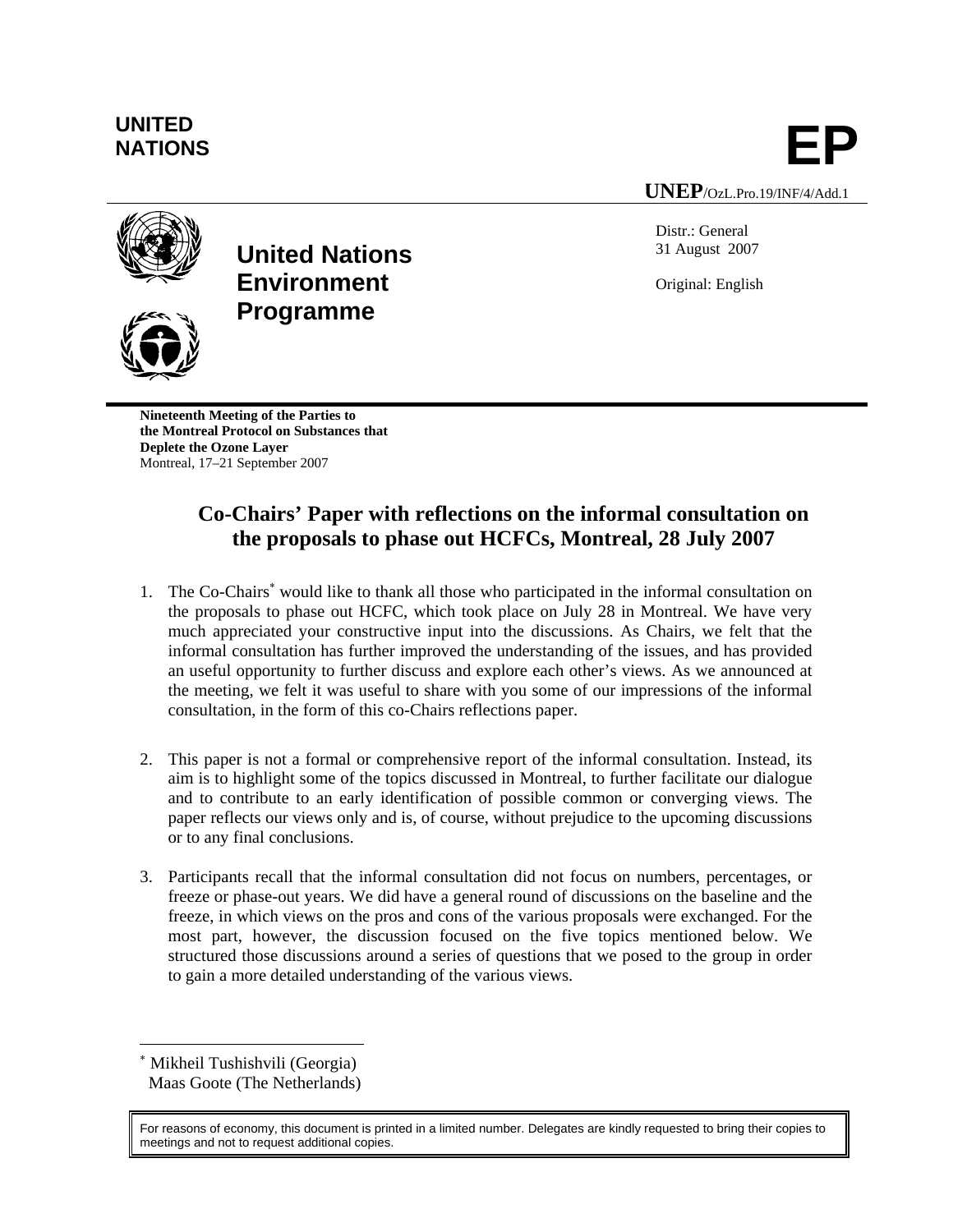# **UNITED**  UNITED<br>NATIONS **EP**

**UNEP**/OzL.Pro.19/INF/4/Add.1

Distr.: General 31 August 2007

Original: English

**Programme**

**United Nations** 

**Environment** 

**Nineteenth Meeting of the Parties to the Montreal Protocol on Substances that Deplete the Ozone Layer**  Montreal, 17–21 September 2007

# **Co-Chairs' Paper with reflections on the informal consultation on the proposals to phase out HCFCs, Montreal, 28 July 2007**

- 1. The Co-Chairs<sup>\*</sup> would like to thank all those who participated in the informal consultation on the proposals to phase out HCFC, which took place on July 28 in Montreal. We have very much appreciated your constructive input into the discussions. As Chairs, we felt that the informal consultation has further improved the understanding of the issues, and has provided an useful opportunity to further discuss and explore each other's views. As we announced at the meeting, we felt it was useful to share with you some of our impressions of the informal consultation, in the form of this co-Chairs reflections paper.
- 2. This paper is not a formal or comprehensive report of the informal consultation. Instead, its aim is to highlight some of the topics discussed in Montreal, to further facilitate our dialogue and to contribute to an early identification of possible common or converging views. The paper reflects our views only and is, of course, without prejudice to the upcoming discussions or to any final conclusions.
- 3. Participants recall that the informal consultation did not focus on numbers, percentages, or freeze or phase-out years. We did have a general round of discussions on the baseline and the freeze, in which views on the pros and cons of the various proposals were exchanged. For the most part, however, the discussion focused on the five topics mentioned below. We structured those discussions around a series of questions that we posed to the group in order to gain a more detailed understanding of the various views.

<sup>∗</sup> Mikheil Tushishvili (Georgia) Maas Goote (The Netherlands)

l



For reasons of economy, this document is printed in a limited number. Delegates are kindly requested to bring their copies to meetings and not to request additional copies.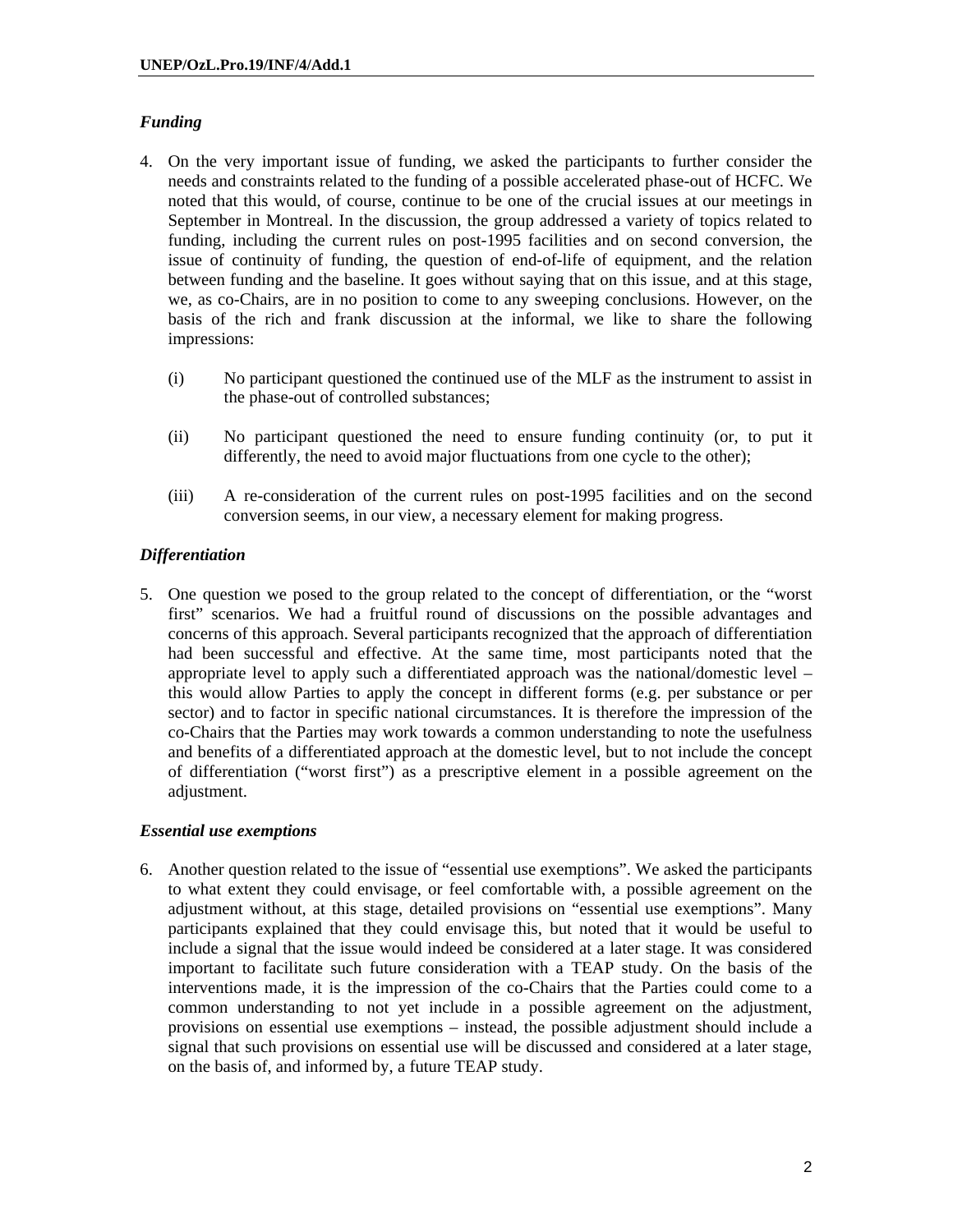## *Funding*

- 4. On the very important issue of funding, we asked the participants to further consider the needs and constraints related to the funding of a possible accelerated phase-out of HCFC. We noted that this would, of course, continue to be one of the crucial issues at our meetings in September in Montreal. In the discussion, the group addressed a variety of topics related to funding, including the current rules on post-1995 facilities and on second conversion, the issue of continuity of funding, the question of end-of-life of equipment, and the relation between funding and the baseline. It goes without saying that on this issue, and at this stage, we, as co-Chairs, are in no position to come to any sweeping conclusions. However, on the basis of the rich and frank discussion at the informal, we like to share the following impressions:
	- (i) No participant questioned the continued use of the MLF as the instrument to assist in the phase-out of controlled substances;
	- (ii) No participant questioned the need to ensure funding continuity (or, to put it differently, the need to avoid major fluctuations from one cycle to the other);
	- (iii) A re-consideration of the current rules on post-1995 facilities and on the second conversion seems, in our view, a necessary element for making progress.

## *Differentiation*

5. One question we posed to the group related to the concept of differentiation, or the "worst first" scenarios. We had a fruitful round of discussions on the possible advantages and concerns of this approach. Several participants recognized that the approach of differentiation had been successful and effective. At the same time, most participants noted that the appropriate level to apply such a differentiated approach was the national/domestic level – this would allow Parties to apply the concept in different forms (e.g. per substance or per sector) and to factor in specific national circumstances. It is therefore the impression of the co-Chairs that the Parties may work towards a common understanding to note the usefulness and benefits of a differentiated approach at the domestic level, but to not include the concept of differentiation ("worst first") as a prescriptive element in a possible agreement on the adjustment.

#### *Essential use exemptions*

6. Another question related to the issue of "essential use exemptions". We asked the participants to what extent they could envisage, or feel comfortable with, a possible agreement on the adjustment without, at this stage, detailed provisions on "essential use exemptions". Many participants explained that they could envisage this, but noted that it would be useful to include a signal that the issue would indeed be considered at a later stage. It was considered important to facilitate such future consideration with a TEAP study. On the basis of the interventions made, it is the impression of the co-Chairs that the Parties could come to a common understanding to not yet include in a possible agreement on the adjustment, provisions on essential use exemptions – instead, the possible adjustment should include a signal that such provisions on essential use will be discussed and considered at a later stage, on the basis of, and informed by, a future TEAP study.